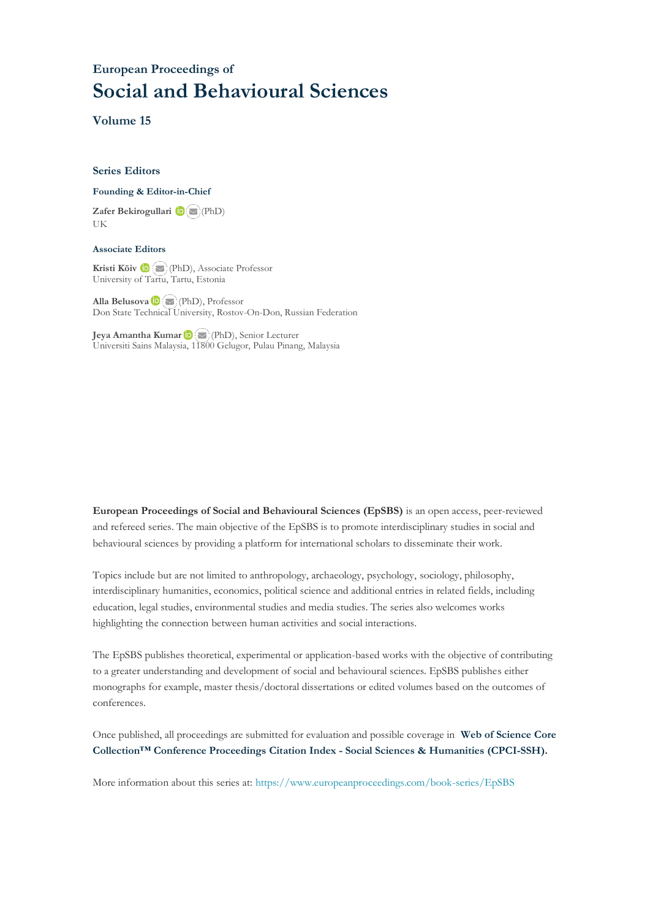## **European Proceedings of Social and Behavioural Sciences**

**Volume 15**

#### **Series Editors**

#### **Founding & Editor-in-Chief**

**Zafer Bekirogullari**(PhD) UK

#### **Associate Editors**

**Kristi Köiv** (PhD), Associate Professor University of Tartu, Tartu, Estonia

**Alla Belusova**(PhD), Professor Don State Technical University, Rostov-On-Don, Russian Federation

**Jeya Amantha Kumar**(PhD), Senior Lecturer Universiti Sains Malaysia, [1180](mailto:amantha@usm.my)0 Gelugor, Pulau Pinang, Malaysia

**European Proceedings of Social and Behavioural Sciences (EpSBS)** is an open access, peer-reviewed and refereed series. The main objective of the EpSBS is to promote interdisciplinary studies in social and behavioural sciences by providing a platform for international scholars to disseminate their work.

Topics include but are not limited to anthropology, archaeology, psychology, sociology, philosophy, interdisciplinary humanities, economics, political science and additional entries in related fields, including education, legal studies, environmental studies and media studies. The series also welcomes works highlighting the connection between human activities and social interactions.

The EpSBS publishes theoretical, experimental or application-based works with the objective of contributing to a greater understanding and development of social and behavioural sciences. EpSBS publishes either monographs for example, master thesis/doctoral dissertations or edited volumes based on the outcomes of conferences.

Once published, all proceedings are submitted for evaluation and possible coverage in **Web of [Science](https://clarivate.com/webofsciencegroup/solutions/webofscience-cpci/) Core Collection™ Conference Proceedings Citation Index - Social Sciences & Humanities [\(CPCI-SSH\).](https://clarivate.com/webofsciencegroup/solutions/webofscience-cpci/)**

More information about this series at[: https://www.europeanproceedings.com/book-series/EpSBS](https://www.europeanproceedings.com/book-series/EpSBS)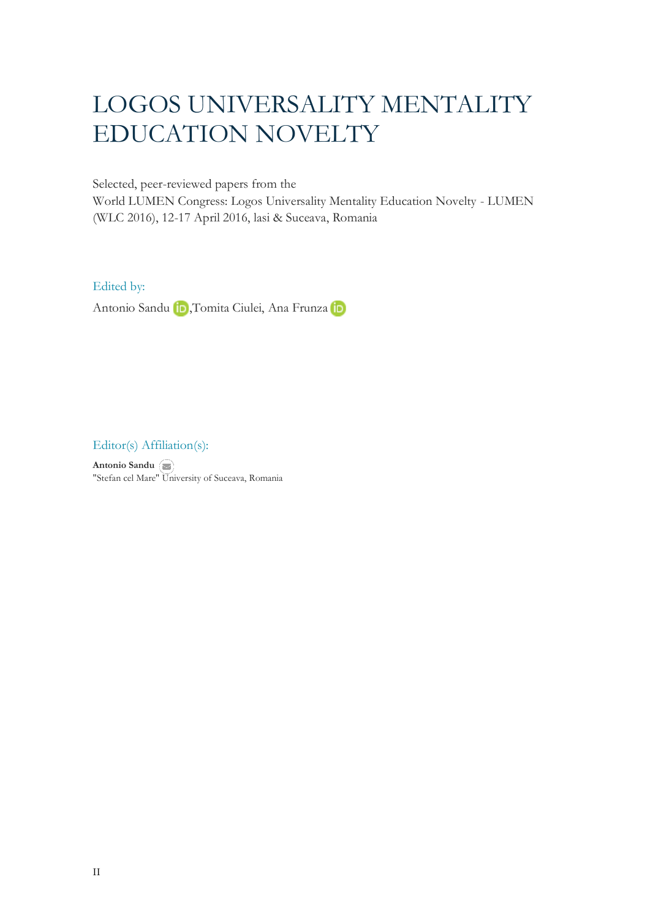# LOGOS UNIVERSALITY MENTALITY EDUCATION NOVELTY

Selected, peer-reviewed papers from the

World LUMEN Congress: Logos Universality Mentality Education Novelty - LUMEN (WLC 2016), 12-17 April 2016, lasi & Suceava, Romania

## Edited by:

Antonio Sandu **in**, Tomita Ciulei, Ana Frunza in

Editor(s) Affiliation(s):

**Antonio Sandu** "Stefan cel Mare[" Uni](mailto:lumeninternational15@gmail.com)versity of Suceava, Romania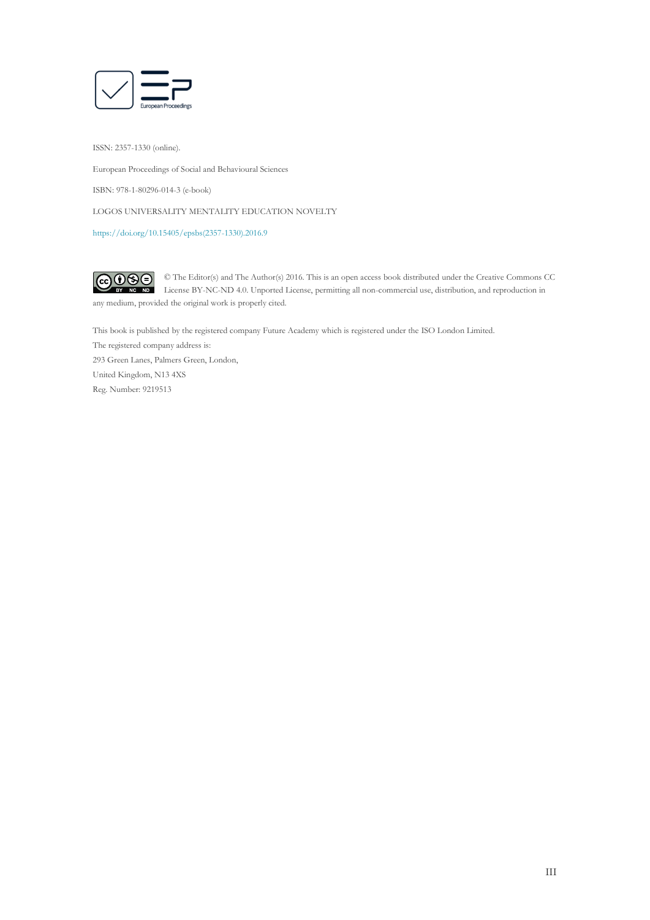

ISSN: 2357-1330 (online).

European Proceedings of Social and Behavioural Sciences

ISBN: 978-1-80296-014-3 (e-book)

LOGOS UNIVERSALITY MENTALITY EDUCATION NOVELTY

[https://doi.org/10.15405/epsbs\(2357-1330\).2016.9](https://doi.org/10.15405/epsbs(2357-1330).2016.9)

 $G \odot \odot$ © The Editor(s) and The Author(s) 2016. This is an open access book distributed under the Creative Commons CC License BY-NC-ND 4.0. Unported License, permitting all non-commercial use, distribution, and reproduction in  $\overline{ND}$ any medium, provided the original work is properly cited.

This book is published by the registered company Future Academy which is registered under the ISO London Limited. The registered company address is: 293 Green Lanes, Palmers Green, London, United Kingdom, N13 4XS Reg. Number: 9219513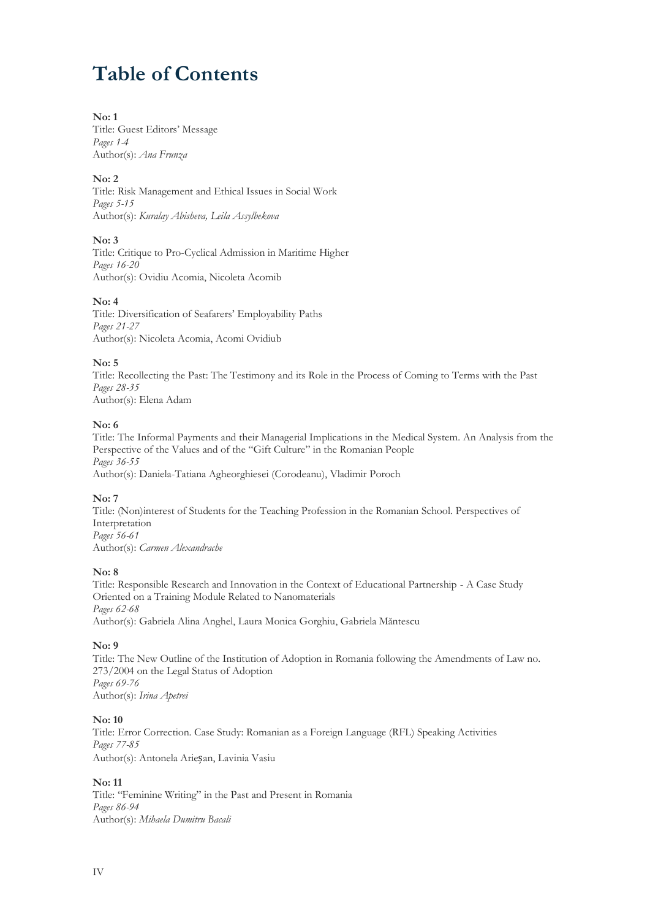## **Table of Contents**

## **No: 1**

Title: Guest Editors' Message *Pages 1-4* Author(s): *Ana Frunza*

## **No: 2**

Title: Risk Management and Ethical Issues in Social Work *Pages 5-15* Author(s): *Kuralay Abisheva, Leila Assylbekova*

## **No: 3**

Title: Critique to Pro-Cyclical Admission in Maritime Higher *Pages 16-20* Author(s): Ovidiu Acomia, Nicoleta Acomib

## **No: 4**

Title: Diversification of Seafarers' Employability Paths *Pages 21-27* Author(s): Nicoleta Acomia, Acomi Ovidiub

## **No: 5**

Title: Recollecting the Past: The Testimony and its Role in the Process of Coming to Terms with the Past *Pages 28-35* Author(s): Elena Adam

## **No: 6**

Title: The Informal Payments and their Managerial Implications in the Medical System. An Analysis from the Perspective of the Values and of the "Gift Culture" in the Romanian People *Pages 36-55* Author(s): Daniela-Tatiana Agheorghiesei (Corodeanu), Vladimir Poroch

## **No: 7**

Title: (Non)interest of Students for the Teaching Profession in the Romanian School. Perspectives of Interpretation *Pages 56-61* Author(s): *Carmen Alexandrache*

## **No: 8**

Title: Responsible Research and Innovation in the Context of Educational Partnership - A Case Study Oriented on a Training Module Related to Nanomaterials *Pages 62-68* Author(s): Gabriela Alina Anghel, Laura Monica Gorghiu, Gabriela Măntescu

## **No: 9**

Title: The New Outline of the Institution of Adoption in Romania following the Amendments of Law no. 273/2004 on the Legal Status of Adoption *Pages 69-76* Author(s): *Irina Apetrei*

## **No: 10**

Title: Error Correction. Case Study: Romanian as a Foreign Language (RFL) Speaking Activities *Pages 77-85* Author(s): Antonela Arieșan, Lavinia Vasiu

## **No: 11**

Title: "Feminine Writing" in the Past and Present in Romania *Pages 86-94* Author(s): *Mihaela Dumitru Bacali*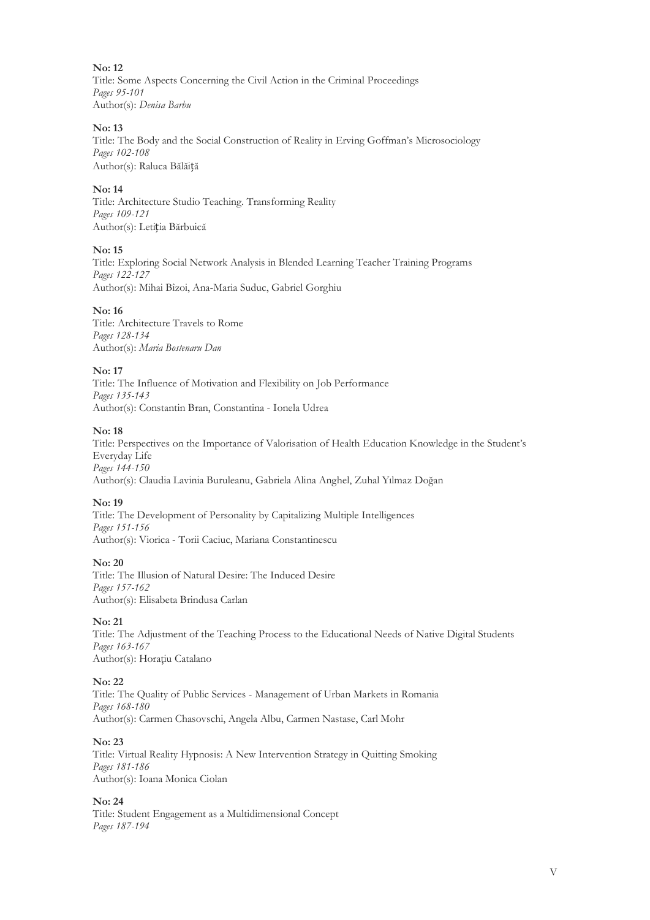**No: 12** Title: Some Aspects Concerning the Civil Action in the Criminal Proceedings *Pages 95-101* Author(s): *Denisa Barbu*

## **No: 13**

Title: The Body and the Social Construction of Reality in Erving Goffman's Microsociology *Pages 102-108* Author(s): Raluca Bălăiță

## **No: 14**

Title: Architecture Studio Teaching. Transforming Reality *Pages 109-121* Author(s): Letiția Bărbuică

#### **No: 15**

Title: Exploring Social Network Analysis in Blended Learning Teacher Training Programs *Pages 122-127* Author(s): Mihai Bîzoi, Ana-Maria Suduc, Gabriel Gorghiu

#### **No: 16**

Title: Architecture Travels to Rome *Pages 128-134* Author(s): *Maria Bostenaru Dan*

#### **No: 17**

Title: The Influence of Motivation and Flexibility on Job Performance *Pages 135-143* Author(s): Constantin Bran, Constantina - Ionela Udrea

#### **No: 18**

Title: Perspectives on the Importance of Valorisation of Health Education Knowledge in the Student's Everyday Life *Pages 144-150* Author(s): Claudia Lavinia Buruleanu, Gabriela Alina Anghel, Zuhal Yılmaz Doğan

#### **No: 19**

Title: The Development of Personality by Capitalizing Multiple Intelligences *Pages 151-156* Author(s): Viorica - Torii Caciuc, Mariana Constantinescu

#### **No: 20**

Title: The Illusion of Natural Desire: The Induced Desire *Pages 157-162* Author(s): Elisabeta Brindusa Carlan

## **No: 21**

Title: The Adjustment of the Teaching Process to the Educational Needs of Native Digital Students *Pages 163-167* Author(s): Horaţiu Catalano

#### **No: 22**

Title: The Quality of Public Services - Management of Urban Markets in Romania *Pages 168-180* Author(s): Carmen Chasovschi, Angela Albu, Carmen Nastase, Carl Mohr

#### **No: 23**

Title: Virtual Reality Hypnosis: A New Intervention Strategy in Quitting Smoking *Pages 181-186* Author(s): Ioana Monica Ciolan

### **No: 24**

Title: Student Engagement as a Multidimensional Concept *Pages 187-194*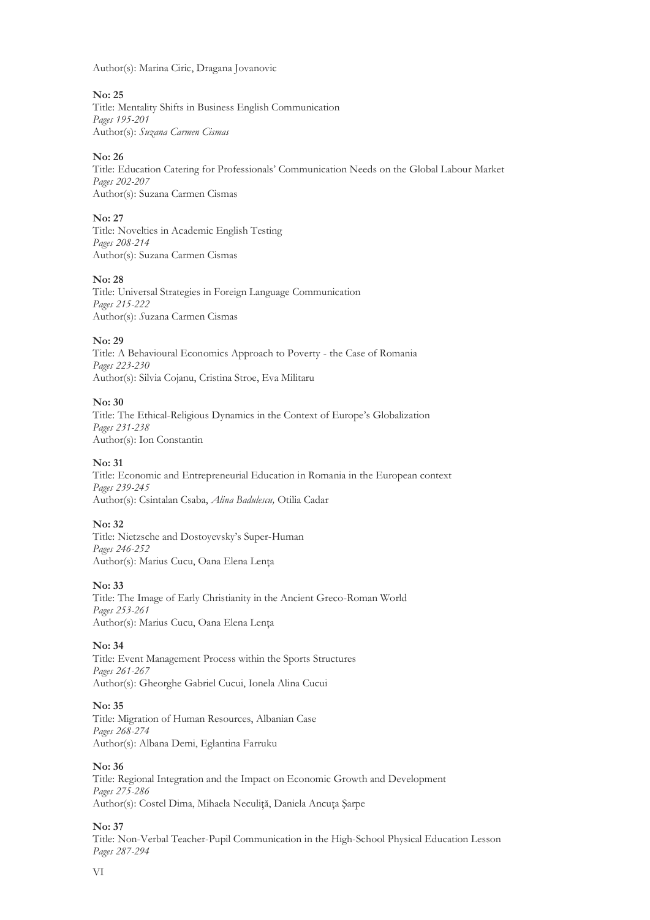Author(s): Marina Ciric, Dragana Jovanovic

## **No: 25**

Title: Mentality Shifts in Business English Communication *Pages 195-201* Author(s): *Suzana Carmen Cismas*

## **No: 26**

Title: Education Catering for Professionals' Communication Needs on the Global Labour Market *Pages 202-207* Author(s): Suzana Carmen Cismas

#### **No: 27**

Title: Novelties in Academic English Testing *Pages 208-214* Author(s): Suzana Carmen Cismas

## **No: 28**

Title: Universal Strategies in Foreign Language Communication *Pages 215-222* Author(s): *S*uzana Carmen Cismas

## **No: 29**

Title: A Behavioural Economics Approach to Poverty - the Case of Romania *Pages 223-230* Author(s): Silvia Cojanu, Cristina Stroe, Eva Militaru

## **No: 30**

Title: The Ethical-Religious Dynamics in the Context of Europe's Globalization *Pages 231-238* Author(s): Ion Constantin

#### **No: 31**

Title: Economic and Entrepreneurial Education in Romania in the European context *Pages 239-245* Author(s): Csintalan Csaba, *Alina Badulescu,* Otilia Cadar

#### **No: 32**

Title: Nietzsche and Dostoyevsky's Super-Human *Pages 246-252* Author(s): Marius Cucu, Oana Elena Lenţa

#### **No: 33**

Title: The Image of Early Christianity in the Ancient Greco-Roman World *Pages 253-261* Author(s): Marius Cucu, Oana Elena Lenţa

#### **No: 34**

Title: Event Management Process within the Sports Structures *Pages 261-267* Author(s): Gheorghe Gabriel Cucui, Ionela Alina Cucui

#### **No: 35**

Title: Migration of Human Resources, Albanian Case *Pages 268-274* Author(s): Albana Demi, Eglantina Farruku

#### **No: 36**

Title: Regional Integration and the Impact on Economic Growth and Development *Pages 275-286* Author(s): Costel Dima, Mihaela Neculiţă, Daniela Ancuţa Şarpe

**No: 37**

Title: Non-Verbal Teacher-Pupil Communication in the High-School Physical Education Lesson *Pages 287-294*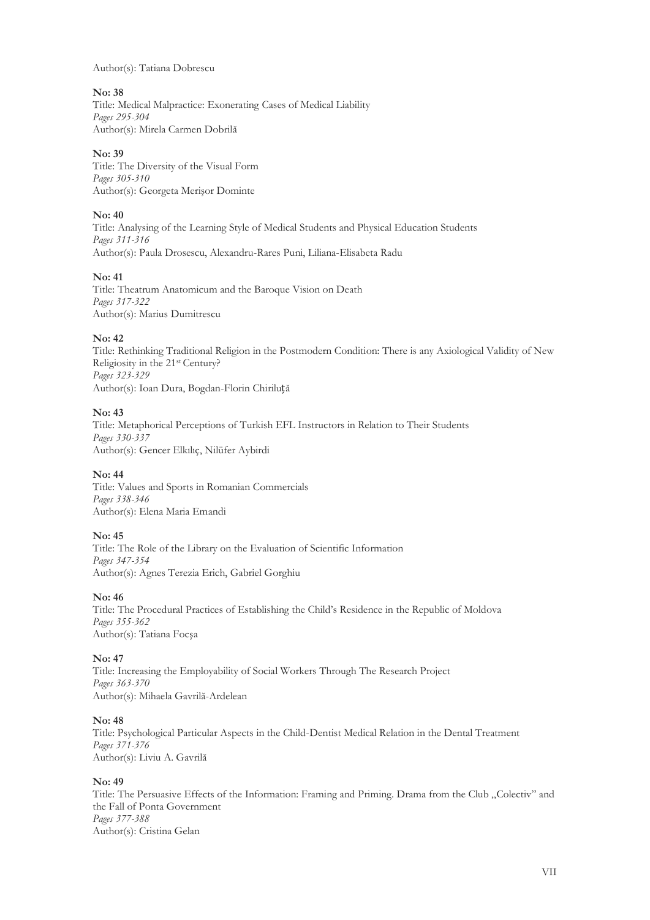Author(s): Tatiana Dobrescu

## **No: 38**

Title: Medical Malpractice: Exonerating Cases of Medical Liability *Pages 295-304* Author(s): Mirela Carmen Dobrilă

## **No: 39**

Title: The Diversity of the Visual Form *Pages 305-310* Author(s): Georgeta Merişor Dominte

## **No: 40**

Title: Analysing of the Learning Style of Medical Students and Physical Education Students *Pages 311-316* Author(s): Paula Drosescu, Alexandru-Rares Puni, Liliana-Elisabeta Radu

## **No: 41**

Title: Theatrum Anatomicum and the Baroque Vision on Death *Pages 317-322* Author(s): Marius Dumitrescu

## **No: 42**

Title: Rethinking Traditional Religion in the Postmodern Condition: There is any Axiological Validity of New Religiosity in the 21st Century? *Pages 323-329* Author(s): Ioan Dura, Bogdan-Florin Chiriluță

## **No: 43**

Title: Metaphorical Perceptions of Turkish EFL Instructors in Relation to Their Students *Pages 330-337* Author(s): Gencer Elkılıç, Nilüfer Aybirdi

## **No: 44**

Title: Values and Sports in Romanian Commercials *Pages 338-346* Author(s): Elena Maria Emandi

## **No: 45**

Title: The Role of the Library on the Evaluation of Scientific Information *Pages 347-354* Author(s): Agnes Terezia Erich, Gabriel Gorghiu

## **No: 46**

Title: The Procedural Practices of Establishing the Child's Residence in the Republic of Moldova *Pages 355-362* Author(s): Tatiana Focşa

## **No: 47**

Title: Increasing the Employability of Social Workers Through The Research Project *Pages 363-370* Author(s): Mihaela Gavrilă-Ardelean

## **No: 48**

Title: Psychological Particular Aspects in the Child-Dentist Medical Relation in the Dental Treatment *Pages 371-376* Author(s): Liviu A. Gavrilă

## **No: 49**

Title: The Persuasive Effects of the Information: Framing and Priming. Drama from the Club "Colectiv" and the Fall of Ponta Government *Pages 377-388* Author(s): Cristina Gelan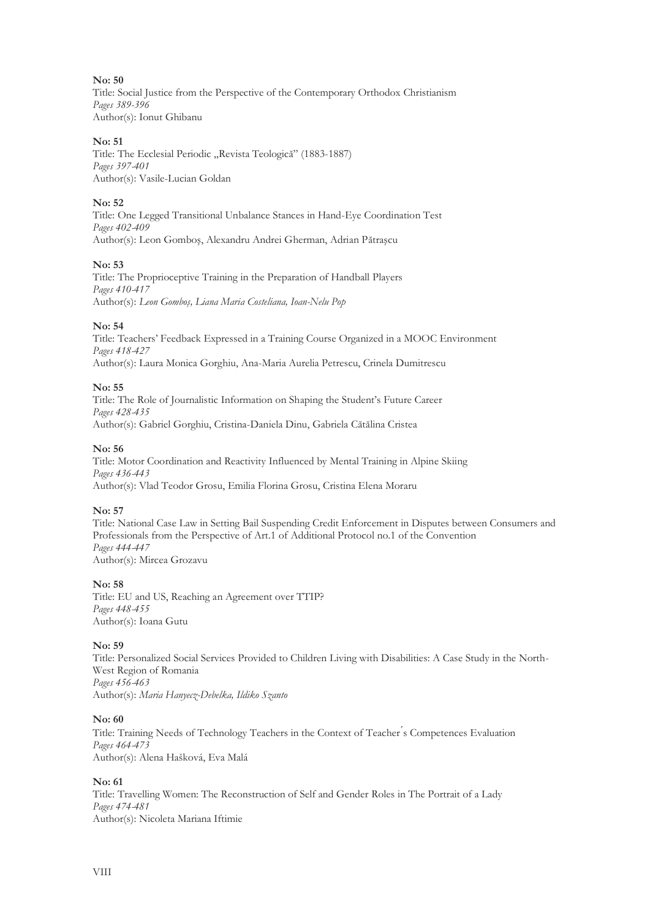## **No: 50**

Title: Social Justice from the Perspective of the Contemporary Orthodox Christianism *Pages 389-396* Author(s): Ionut Ghibanu

#### **No: 51**

Title: The Ecclesial Periodic "Revista Teologică" (1883-1887) *Pages 397-401* Author(s): Vasile-Lucian Goldan

## **No: 52**

Title: One Legged Transitional Unbalance Stances in Hand-Eye Coordination Test *Pages 402-409* Author(s): Leon Gomboş, Alexandru Andrei Gherman, Adrian Pătraşcu

#### **No: 53**

Title: The Proprioceptive Training in the Preparation of Handball Players *Pages 410-417* Author(s): *Leon Gomboş, Liana Maria Costeliana, Ioan-Nelu Pop*

#### **No: 54**

Title: Teachers' Feedback Expressed in a Training Course Organized in a MOOC Environment *Pages 418-427* Author(s): Laura Monica Gorghiu, Ana-Maria Aurelia Petrescu, Crinela Dumitrescu

#### **No: 55**

Title: The Role of Journalistic Information on Shaping the Student's Future Career *Pages 428-435* Author(s): Gabriel Gorghiu, Cristina-Daniela Dinu, Gabriela Cătălina Cristea

#### **No: 56**

Title: Motor Coordination and Reactivity Influenced by Mental Training in Alpine Skiing *Pages 436-443* Author(s): Vlad Teodor Grosu, Emilia Florina Grosu, Cristina Elena Moraru

#### **No: 57**

Title: National Case Law in Setting Bail Suspending Credit Enforcement in Disputes between Consumers and Professionals from the Perspective of Art.1 of Additional Protocol no.1 of the Convention *Pages 444-447* Author(s): Mircea Grozavu

#### **No: 58**

Title: EU and US, Reaching an Agreement over TTIP? *Pages 448-455* Author(s): Ioana Gutu

#### **No: 59**

Title: Personalized Social Services Provided to Children Living with Disabilities: A Case Study in the North-West Region of Romania *Pages 456-463* Author(s): *Maria Hanyecz-Debelka, Ildiko Szanto*

#### **No: 60**

Title: Training Needs of Technology Teachers in the Context of Teacher ́s Competences Evaluation *Pages 464-473* Author(s): Alena Hašková, Eva Malá

## **No: 61**

Title: Travelling Women: The Reconstruction of Self and Gender Roles in The Portrait of a Lady *Pages 474-481* Author(s): Nicoleta Mariana Iftimie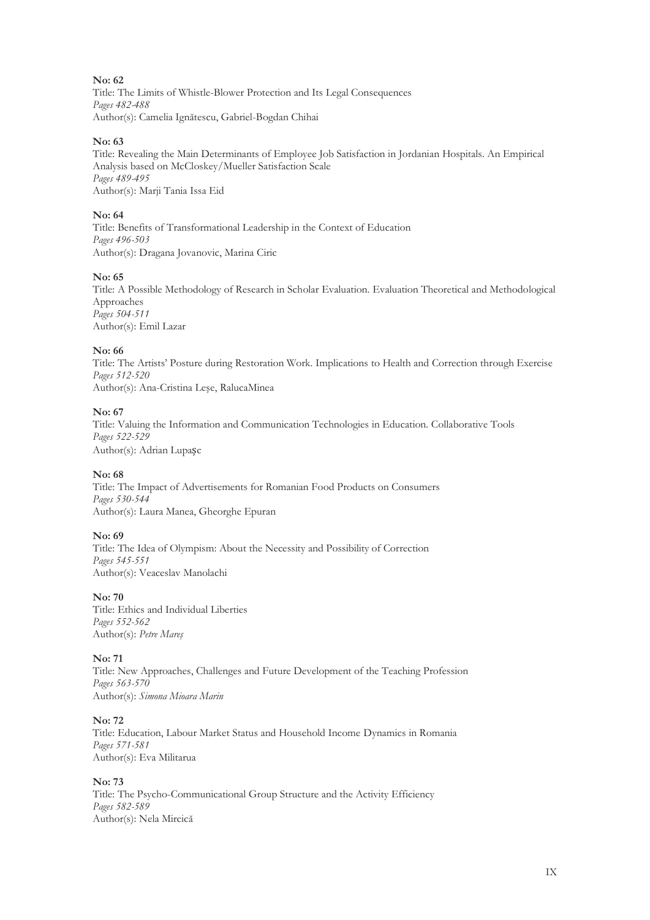## **No: 62**

Title: The Limits of Whistle-Blower Protection and Its Legal Consequences *Pages 482-488* Author(s): Camelia Ignătescu, Gabriel-Bogdan Chihai

#### **No: 63**

Title: Revealing the Main Determinants of Employee Job Satisfaction in Jordanian Hospitals. An Empirical Analysis based on McCloskey/Mueller Satisfaction Scale *Pages 489-495* Author(s): Marji Tania Issa Eid

#### **No: 64**

Title: Benefits of Transformational Leadership in the Context of Education *Pages 496-503* Author(s): Dragana Jovanovic, Marina Ciric

#### **No: 65**

Title: A Possible Methodology of Research in Scholar Evaluation. Evaluation Theoretical and Methodological Approaches *Pages 504-511* Author(s): Emil Lazar

#### **No: 66**

Title: The Artists' Posture during Restoration Work. Implications to Health and Correction through Exercise *Pages 512-520* Author(s): Ana-Cristina Leşe, RalucaMinea

## **No: 67**

Title: Valuing the Information and Communication Technologies in Education. Collaborative Tools *Pages 522-529* Author(s): Adrian Lupașc

## **No: 68**

Title: The Impact of Advertisements for Romanian Food Products on Consumers *Pages 530-544* Author(s): Laura Manea, Gheorghe Epuran

## **No: 69**

Title: The Idea of Olympism: About the Necessity and Possibility of Correction *Pages 545-551* Author(s): Veaceslav Manolachi

**No: 70**

Title: Ethics and Individual Liberties *Pages 552-562* Author(s): *Petre Mareş* 

## **No: 71**

Title: New Approaches, Challenges and Future Development of the Teaching Profession *Pages 563-570* Author(s): *Simona Mioara Marin*

#### **No: 72**

Title: Education, Labour Market Status and Household Income Dynamics in Romania *Pages 571-581* Author(s): Eva Militarua

## **No: 73**

Title: The Psycho-Communicational Group Structure and the Activity Efficiency *Pages 582-589* Author(s): Nela Mircică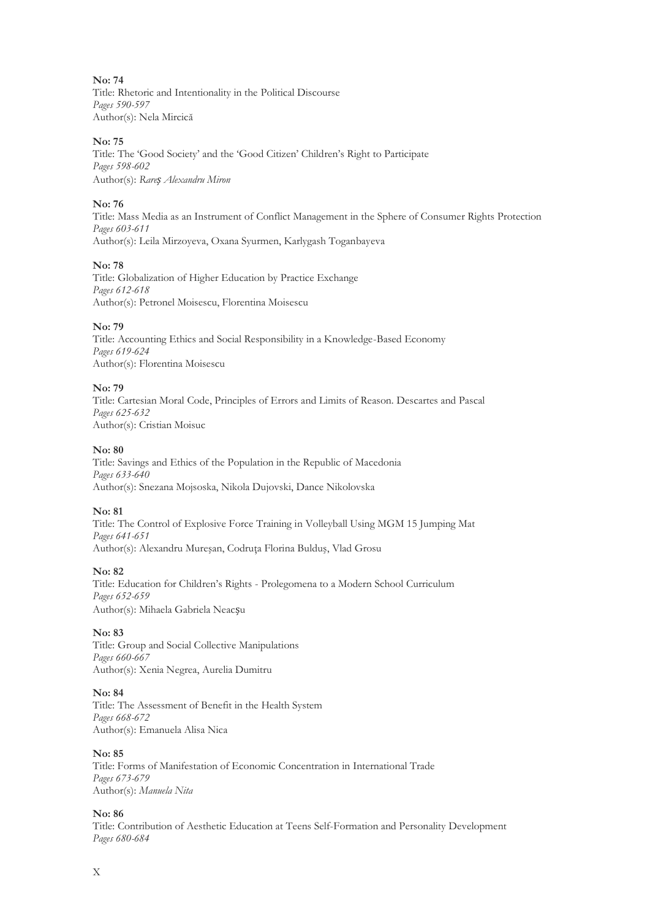**No: 74** Title: Rhetoric and Intentionality in the Political Discourse *Pages 590-597*

Author(s): Nela Mircică

## **No: 75**

Title: The 'Good Society' and the 'Good Citizen' Children's Right to Participate *Pages 598-602* Author(s): *Rareș Alexandru Miron* 

## **No: 76**

Title: Mass Media as an Instrument of Conflict Management in the Sphere of Consumer Rights Protection *Pages 603-611* Author(s): Leila Mirzoyeva, Oxana Syurmen, Karlygash Toganbayeva

## **No: 78**

Title: Globalization of Higher Education by Practice Exchange *Pages 612-618* Author(s): Petronel Moisescu, Florentina Moisescu

## **No: 79**

Title: Accounting Ethics and Social Responsibility in a Knowledge-Based Economy *Pages 619-624* Author(s): Florentina Moisescu

## **No: 79**

Title: Cartesian Moral Code, Principles of Errors and Limits of Reason. Descartes and Pascal *Pages 625-632* Author(s): Cristian Moisuc

## **No: 80**

Title: Savings and Ethics of the Population in the Republic of Macedonia *Pages 633-640* Author(s): Snezana Mojsoska, Nikola Dujovski, Dance Nikolovska

## **No: 81**

Title: The Control of Explosive Force Training in Volleyball Using MGM 15 Jumping Mat *Pages 641-651* Author(s): Alexandru Mureşan, Codruţa Florina Bulduş, Vlad Grosu

## **No: 82**

Title: Education for Children's Rights - Prolegomena to a Modern School Curriculum *Pages 652-659* Author(s): Mihaela Gabriela Neacșu

## **No: 83**

Title: Group and Social Collective Manipulations *Pages 660-667* Author(s): Xenia Negrea, Aurelia Dumitru

## **No: 84**

Title: The Assessment of Benefit in the Health System *Pages 668-672* Author(s): Emanuela Alisa Nica

## **No: 85**

Title: Forms of Manifestation of Economic Concentration in International Trade *Pages 673-679* Author(s): *Manuela Nita* 

## **No: 86**

Title: Contribution of Aesthetic Education at Teens Self-Formation and Personality Development *Pages 680-684*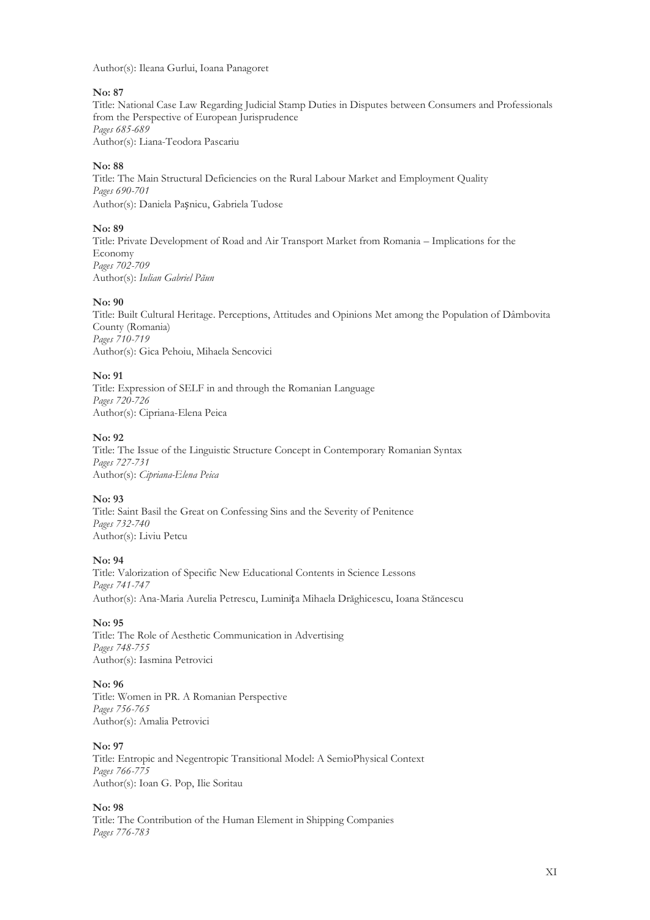Author(s): Ileana Gurlui, Ioana Panagoret

#### **No: 87**

Title: National Case Law Regarding Judicial Stamp Duties in Disputes between Consumers and Professionals from the Perspective of European Jurisprudence *Pages 685-689* Author(s): Liana-Teodora Pascariu

## **No: 88**

Title: The Main Structural Deficiencies on the Rural Labour Market and Employment Quality *Pages 690-701* Author(s): Daniela Pașnicu, Gabriela Tudose

## **No: 89**

Title: Private Development of Road and Air Transport Market from Romania – Implications for the Economy *Pages 702-709* Author(s): *Iulian Gabriel Păun* 

#### **No: 90**

Title: Built Cultural Heritage. Perceptions, Attitudes and Opinions Met among the Population of Dâmbovita County (Romania) *Pages 710-719* Author(s): Gica Pehoiu, Mihaela Sencovici

#### **No: 91**

Title: Expression of SELF in and through the Romanian Language *Pages 720-726* Author(s): Cipriana-Elena Peica

## **No: 92**

Title: The Issue of the Linguistic Structure Concept in Contemporary Romanian Syntax *Pages 727-731* Author(s): *Cipriana-Elena Peica*

## **No: 93**

Title: Saint Basil the Great on Confessing Sins and the Severity of Penitence *Pages 732-740* Author(s): Liviu Petcu

## **No: 94**

Title: Valorization of Specific New Educational Contents in Science Lessons *Pages 741-747* Author(s): Ana-Maria Aurelia Petrescu, Luminița Mihaela Drăghicescu, Ioana Stăncescu

## **No: 95**

Title: The Role of Aesthetic Communication in Advertising *Pages 748-755* Author(s): Iasmina Petrovici

#### **No: 96**

Title: Women in PR. A Romanian Perspective *Pages 756-765* Author(s): Amalia Petrovici

## **No: 97**

Title: Entropic and Negentropic Transitional Model: A SemioPhysical Context *Pages 766-775* Author(s): Ioan G. Pop, Ilie Soritau

## **No: 98**

Title: The Contribution of the Human Element in Shipping Companies *Pages 776-783*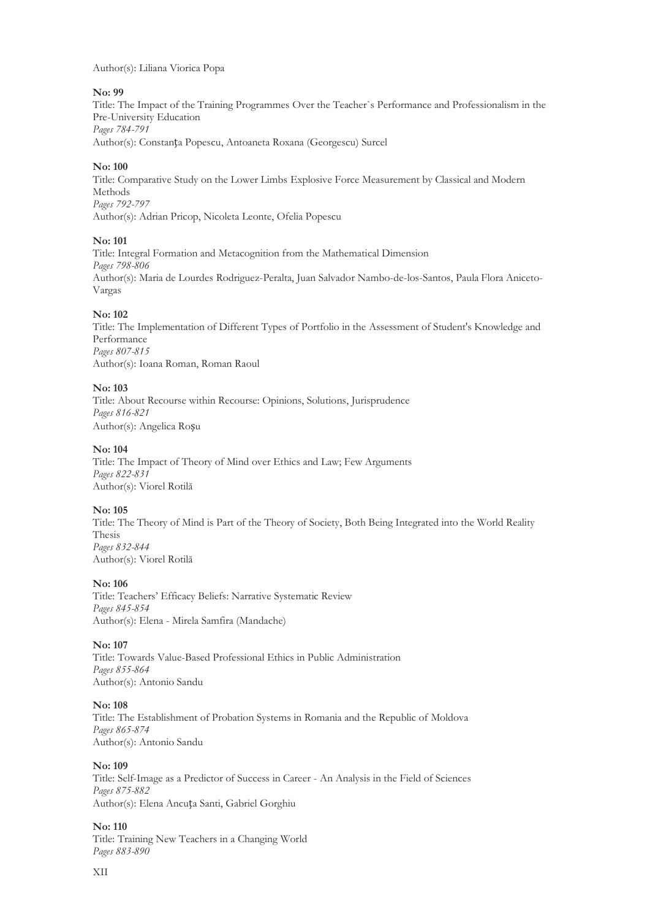## Author(s): Liliana Viorica Popa

## **No: 99**

Title: The Impact of the Training Programmes Over the Teacher`s Performance and Professionalism in the Pre-University Education *Pages 784-791* Author(s): Constanța Popescu, Antoaneta Roxana (Georgescu) Surcel

## **No: 100**

Title: Comparative Study on the Lower Limbs Explosive Force Measurement by Classical and Modern Methods *Pages 792-797* Author(s): Adrian Pricop, Nicoleta Leonte, Ofelia Popescu

## **No: 101**

Title: Integral Formation and Metacognition from the Mathematical Dimension *Pages 798-806* Author(s): Maria de Lourdes Rodriguez-Peralta, Juan Salvador Nambo-de-los-Santos, Paula Flora Aniceto-Vargas

## **No: 102**

Title: The Implementation of Different Types of Portfolio in the Assessment of Student's Knowledge and Performance *Pages 807-815* Author(s): Ioana Roman, Roman Raoul

## **No: 103**

Title: About Recourse within Recourse: Opinions, Solutions, Jurisprudence *Pages 816-821* Author(s): Angelica Roșu

## **No: 104**

Title: The Impact of Theory of Mind over Ethics and Law; Few Arguments *Pages 822-831* Author(s): Viorel Rotilă

## **No: 105**

Title: The Theory of Mind is Part of the Theory of Society, Both Being Integrated into the World Reality Thesis *Pages 832-844* Author(s): Viorel Rotilă

## **No: 106**

Title: Teachers' Efficacy Beliefs: Narrative Systematic Review *Pages 845-854* Author(s): Elena - Mirela Samfira (Mandache)

## **No: 107**

Title: Towards Value-Based Professional Ethics in Public Administration *Pages 855-864* Author(s): Antonio Sandu

## **No: 108**

Title: The Establishment of Probation Systems in Romania and the Republic of Moldova *Pages 865-874* Author(s): Antonio Sandu

## **No: 109**

Title: Self-Image as a Predictor of Success in Career - An Analysis in the Field of Sciences *Pages 875-882* Author(s): Elena Ancuța Santi, Gabriel Gorghiu

**No: 110** Title: Training New Teachers in a Changing World *Pages 883-890*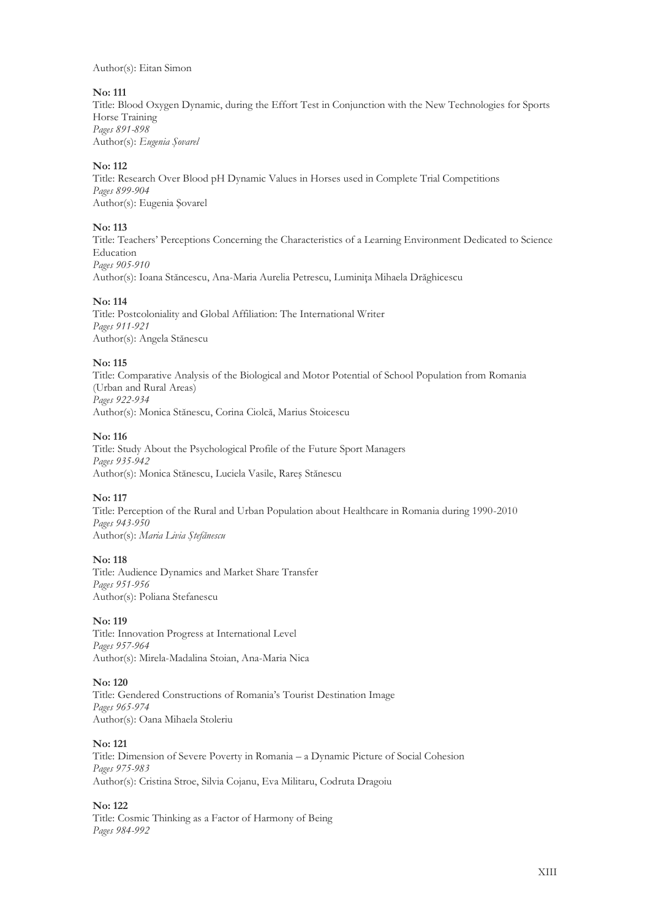Author(s): Eitan Simon

## **No: 111**

Title: Blood Oxygen Dynamic, during the Effort Test in Conjunction with the New Technologies for Sports Horse Training *Pages 891-898* Author(s): *Eugenia Şovarel* 

## **No: 112**

Title: Research Over Blood pH Dynamic Values in Horses used in Complete Trial Competitions *Pages 899-904* Author(s): Eugenia Şovarel

## **No: 113**

Title: Teachers' Perceptions Concerning the Characteristics of a Learning Environment Dedicated to Science Education *Pages 905-910* Author(s): Ioana Stăncescu, Ana-Maria Aurelia Petrescu, Luminiţa Mihaela Drăghicescu

#### **No: 114**

Title: Postcoloniality and Global Affiliation: The International Writer *Pages 911-921* Author(s): Angela Stănescu

#### **No: 115**

Title: Comparative Analysis of the Biological and Motor Potential of School Population from Romania (Urban and Rural Areas) *Pages 922-934* Author(s): Monica Stănescu, Corina Ciolcă, Marius Stoicescu

#### **No: 116**

Title: Study About the Psychological Profile of the Future Sport Managers *Pages 935-942* Author(s): Monica Stănescu, Luciela Vasile, Rareş Stănescu

## **No: 117**

Title: Perception of the Rural and Urban Population about Healthcare in Romania during 1990-2010 *Pages 943-950* Author(s): *Maria Livia Ştefănescu*

#### **No: 118**

Title: Audience Dynamics and Market Share Transfer *Pages 951-956* Author(s): Poliana Stefanescu

## **No: 119**

Title: Innovation Progress at International Level *Pages 957-964* Author(s): Mirela-Madalina Stoian, Ana-Maria Nica

#### **No: 120**

Title: Gendered Constructions of Romania's Tourist Destination Image *Pages 965-974* Author(s): Oana Mihaela Stoleriu

**No: 121**

Title: Dimension of Severe Poverty in Romania – a Dynamic Picture of Social Cohesion *Pages 975-983* Author(s): Cristina Stroe, Silvia Cojanu, Eva Militaru, Codruta Dragoiu

## **No: 122**

Title: Cosmic Thinking as a Factor of Harmony of Being *Pages 984-992*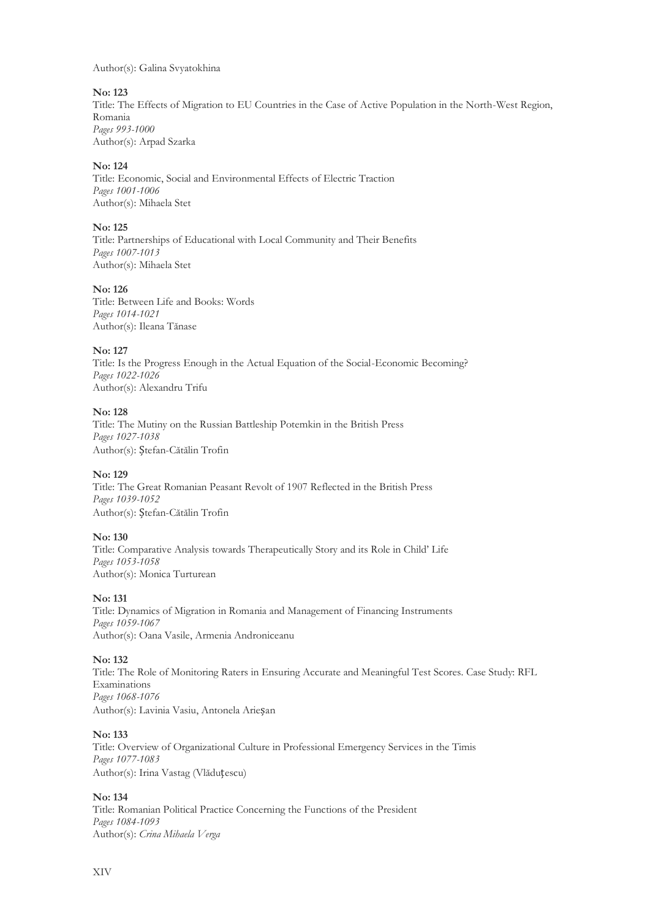Author(s): Galina Svyatokhina

#### **No: 123**

Title: The Effects of Migration to EU Countries in the Case of Active Population in the North-West Region, Romania *Pages 993-1000* Author(s): Arpad Szarka

## **No: 124**

Title: Economic, Social and Environmental Effects of Electric Traction *Pages 1001-1006* Author(s): Mihaela Stet

## **No: 125**

Title: Partnerships of Educational with Local Community and Their Benefits *Pages 1007-1013* Author(s): Mihaela Stet

#### **No: 126**

Title: Between Life and Books: Words *Pages 1014-1021* Author(s): Ileana Tănase

#### **No: 127**

Title: Is the Progress Enough in the Actual Equation of the Social-Economic Becoming? *Pages 1022-1026* Author(s): Alexandru Trifu

#### **No: 128**

Title: The Mutiny on the Russian Battleship Potemkin in the British Press *Pages 1027-1038* Author(s): Ștefan-Cătălin Trofin

## **No: 129**

Title: The Great Romanian Peasant Revolt of 1907 Reflected in the British Press *Pages 1039-1052* Author(s): Ștefan-Cătălin Trofin

## **No: 130**

Title: Comparative Analysis towards Therapeutically Story and its Role in Child' Life *Pages 1053-1058* Author(s): Monica Turturean

#### **No: 131**

Title: Dynamics of Migration in Romania and Management of Financing Instruments *Pages 1059-1067* Author(s): Oana Vasile, Armenia Androniceanu

#### **No: 132**

Title: The Role of Monitoring Raters in Ensuring Accurate and Meaningful Test Scores. Case Study: RFL Examinations *Pages 1068-1076* Author(s): Lavinia Vasiu, Antonela Arieșan

#### **No: 133**

Title: Overview of Organizational Culture in Professional Emergency Services in the Timis *Pages 1077-1083* Author(s): Irina Vastag (Vlăduțescu)

## **No: 134**

Title: Romanian Political Practice Concerning the Functions of the President *Pages 1084-1093* Author(s): *Crina Mihaela Verga*